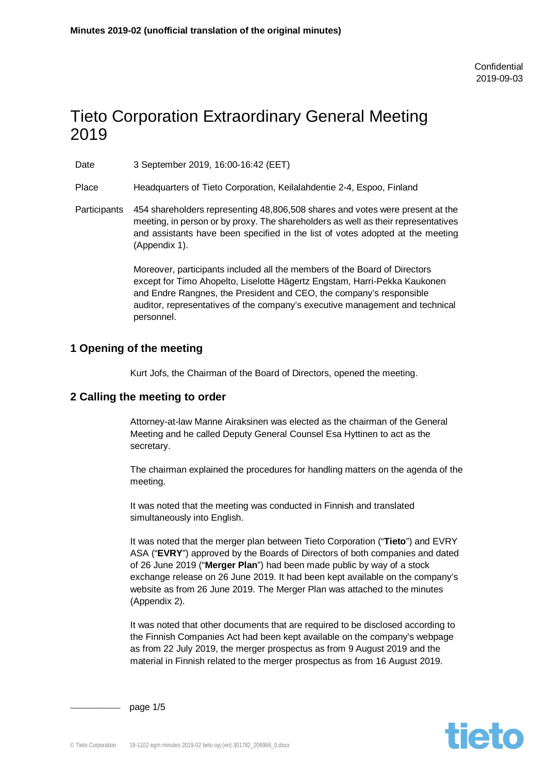# Tieto Corporation Extraordinary General Meeting 2019

Date 3 September 2019, 16:00-16:42 (EET)

Place Headquarters of Tieto Corporation, Keilalahdentie 2-4, Espoo, Finland

Participants 454 shareholders representing 48,806,508 shares and votes were present at the meeting, in person or by proxy. The shareholders as well as their representatives and assistants have been specified in the list of votes adopted at the meeting (Appendix 1).

> Moreover, participants included all the members of the Board of Directors except for Timo Ahopelto, Liselotte Hägertz Engstam, Harri-Pekka Kaukonen and Endre Rangnes, the President and CEO, the company's responsible auditor, representatives of the company's executive management and technical personnel.

## **1 Opening of the meeting**

Kurt Jofs, the Chairman of the Board of Directors, opened the meeting.

## **2 Calling the meeting to order**

Attorney-at-law Manne Airaksinen was elected as the chairman of the General Meeting and he called Deputy General Counsel Esa Hyttinen to act as the secretary.

The chairman explained the procedures for handling matters on the agenda of the meeting.

It was noted that the meeting was conducted in Finnish and translated simultaneously into English.

It was noted that the merger plan between Tieto Corporation ("**Tieto**") and EVRY ASA ("**EVRY**") approved by the Boards of Directors of both companies and dated of 26 June 2019 ("**Merger Plan**") had been made public by way of a stock exchange release on 26 June 2019. It had been kept available on the company's website as from 26 June 2019. The Merger Plan was attached to the minutes (Appendix 2).

It was noted that other documents that are required to be disclosed according to the Finnish Companies Act had been kept available on the company's webpage as from 22 July 2019, the merger prospectus as from 9 August 2019 and the material in Finnish related to the merger prospectus as from 16 August 2019.



page 1/5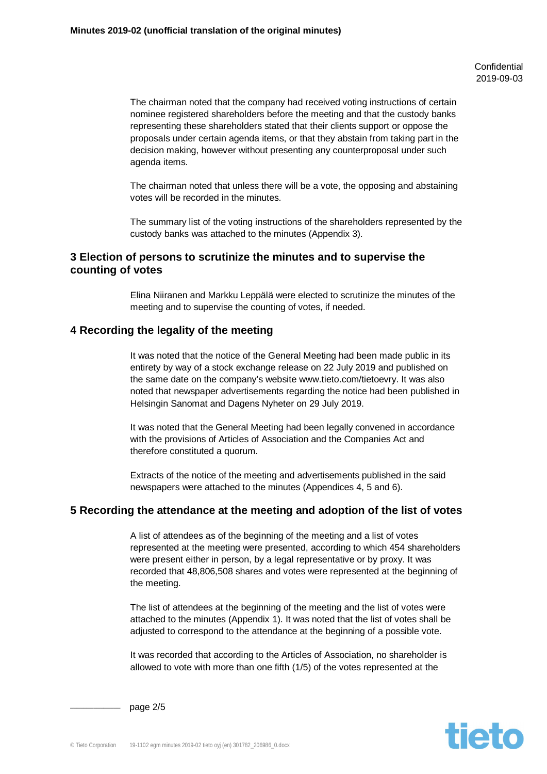**Confidential** 2019-09-03

The chairman noted that the company had received voting instructions of certain nominee registered shareholders before the meeting and that the custody banks representing these shareholders stated that their clients support or oppose the proposals under certain agenda items, or that they abstain from taking part in the decision making, however without presenting any counterproposal under such agenda items.

The chairman noted that unless there will be a vote, the opposing and abstaining votes will be recorded in the minutes.

The summary list of the voting instructions of the shareholders represented by the custody banks was attached to the minutes (Appendix 3).

## **3 Election of persons to scrutinize the minutes and to supervise the counting of votes**

Elina Niiranen and Markku Leppälä were elected to scrutinize the minutes of the meeting and to supervise the counting of votes, if needed.

#### **4 Recording the legality of the meeting**

It was noted that the notice of the General Meeting had been made public in its entirety by way of a stock exchange release on 22 July 2019 and published on the same date on the company's website www.tieto.com/tietoevry. It was also noted that newspaper advertisements regarding the notice had been published in Helsingin Sanomat and Dagens Nyheter on 29 July 2019.

It was noted that the General Meeting had been legally convened in accordance with the provisions of Articles of Association and the Companies Act and therefore constituted a quorum.

Extracts of the notice of the meeting and advertisements published in the said newspapers were attached to the minutes (Appendices 4, 5 and 6).

#### **5 Recording the attendance at the meeting and adoption of the list of votes**

A list of attendees as of the beginning of the meeting and a list of votes represented at the meeting were presented, according to which 454 shareholders were present either in person, by a legal representative or by proxy. It was recorded that 48,806,508 shares and votes were represented at the beginning of the meeting.

The list of attendees at the beginning of the meeting and the list of votes were attached to the minutes (Appendix 1). It was noted that the list of votes shall be adjusted to correspond to the attendance at the beginning of a possible vote.

It was recorded that according to the Articles of Association, no shareholder is allowed to vote with more than one fifth (1/5) of the votes represented at the



page 2/5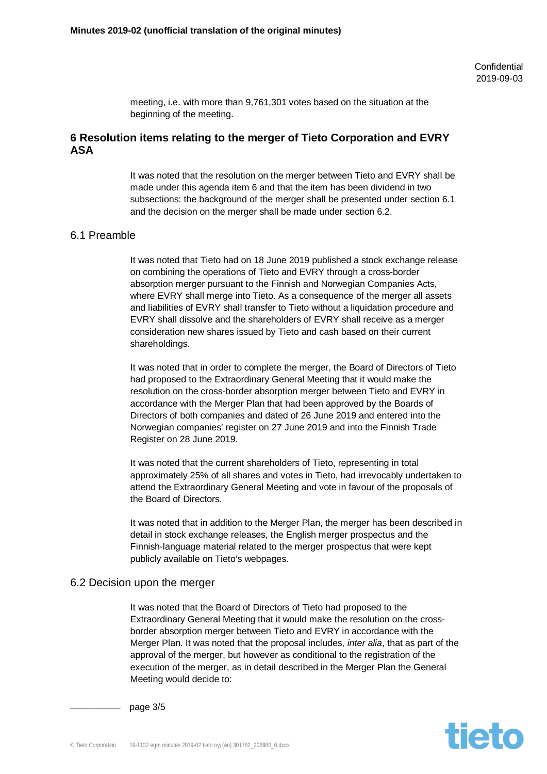meeting, i.e. with more than 9,761,301 votes based on the situation at the beginning of the meeting.

## **6 Resolution items relating to the merger of Tieto Corporation and EVRY ASA**

It was noted that the resolution on the merger between Tieto and EVRY shall be made under this agenda item 6 and that the item has been dividend in two subsections: the background of the merger shall be presented under section 6.1 and the decision on the merger shall be made under section 6.2.

#### 6.1 Preamble

It was noted that Tieto had on 18 June 2019 published a stock exchange release on combining the operations of Tieto and EVRY through a cross-border absorption merger pursuant to the Finnish and Norwegian Companies Acts, where EVRY shall merge into Tieto. As a consequence of the merger all assets and liabilities of EVRY shall transfer to Tieto without a liquidation procedure and EVRY shall dissolve and the shareholders of EVRY shall receive as a merger consideration new shares issued by Tieto and cash based on their current shareholdings.

It was noted that in order to complete the merger, the Board of Directors of Tieto had proposed to the Extraordinary General Meeting that it would make the resolution on the cross-border absorption merger between Tieto and EVRY in accordance with the Merger Plan that had been approved by the Boards of Directors of both companies and dated of 26 June 2019 and entered into the Norwegian companies' register on 27 June 2019 and into the Finnish Trade Register on 28 June 2019.

It was noted that the current shareholders of Tieto, representing in total approximately 25% of all shares and votes in Tieto, had irrevocably undertaken to attend the Extraordinary General Meeting and vote in favour of the proposals of the Board of Directors.

It was noted that in addition to the Merger Plan, the merger has been described in detail in stock exchange releases, the English merger prospectus and the Finnish-language material related to the merger prospectus that were kept publicly available on Tieto's webpages.

#### 6.2 Decision upon the merger

It was noted that the Board of Directors of Tieto had proposed to the Extraordinary General Meeting that it would make the resolution on the crossborder absorption merger between Tieto and EVRY in accordance with the Merger Plan. It was noted that the proposal includes, *inter alia*, that as part of the approval of the merger, but however as conditional to the registration of the execution of the merger, as in detail described in the Merger Plan the General Meeting would decide to:



page 3/5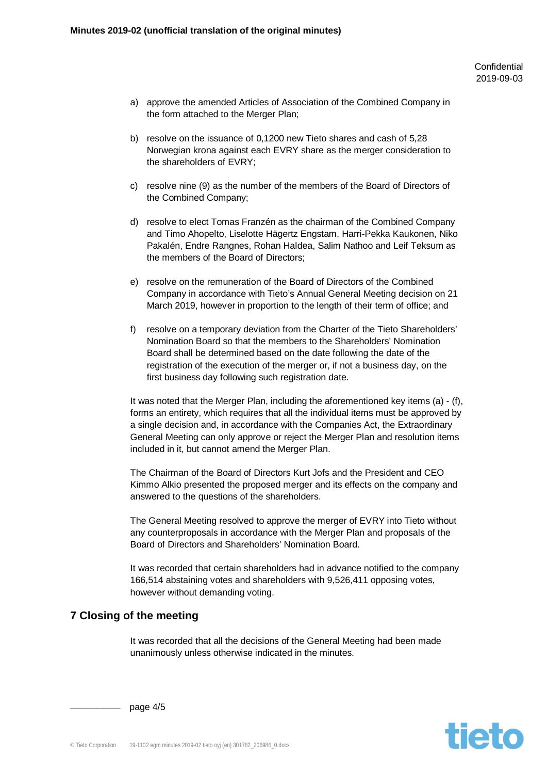**Confidential** 2019-09-03

- a) approve the amended Articles of Association of the Combined Company in the form attached to the Merger Plan;
- b) resolve on the issuance of 0,1200 new Tieto shares and cash of 5,28 Norwegian krona against each EVRY share as the merger consideration to the shareholders of EVRY;
- c) resolve nine (9) as the number of the members of the Board of Directors of the Combined Company;
- d) resolve to elect Tomas Franzén as the chairman of the Combined Company and Timo Ahopelto, Liselotte Hägertz Engstam, Harri-Pekka Kaukonen, Niko Pakalén, Endre Rangnes, Rohan Haldea, Salim Nathoo and Leif Teksum as the members of the Board of Directors;
- e) resolve on the remuneration of the Board of Directors of the Combined Company in accordance with Tieto's Annual General Meeting decision on 21 March 2019, however in proportion to the length of their term of office; and
- f) resolve on a temporary deviation from the Charter of the Tieto Shareholders' Nomination Board so that the members to the Shareholders' Nomination Board shall be determined based on the date following the date of the registration of the execution of the merger or, if not a business day, on the first business day following such registration date.

It was noted that the Merger Plan, including the aforementioned key items (a) - (f), forms an entirety, which requires that all the individual items must be approved by a single decision and, in accordance with the Companies Act, the Extraordinary General Meeting can only approve or reject the Merger Plan and resolution items included in it, but cannot amend the Merger Plan.

The Chairman of the Board of Directors Kurt Jofs and the President and CEO Kimmo Alkio presented the proposed merger and its effects on the company and answered to the questions of the shareholders.

The General Meeting resolved to approve the merger of EVRY into Tieto without any counterproposals in accordance with the Merger Plan and proposals of the Board of Directors and Shareholders' Nomination Board.

It was recorded that certain shareholders had in advance notified to the company 166,514 abstaining votes and shareholders with 9,526,411 opposing votes, however without demanding voting.

# **7 Closing of the meeting**

It was recorded that all the decisions of the General Meeting had been made unanimously unless otherwise indicated in the minutes.



page  $4/5$